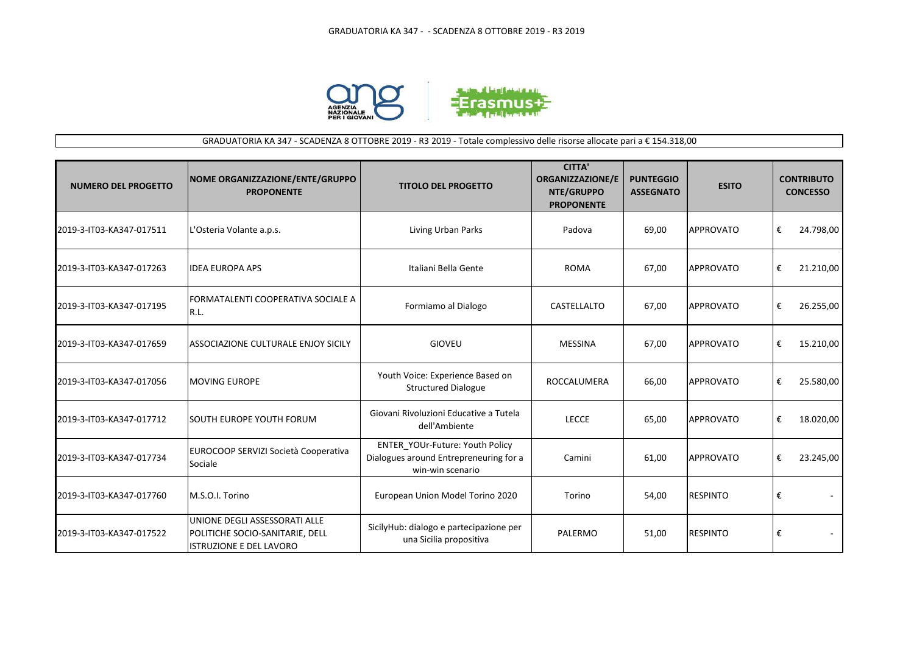

## GRADUATORIA KA 347 - SCADENZA 8 OTTOBRE 2019 - R3 2019 - Totale complessivo delle risorse allocate pari a € 154.318,00

| <b>NUMERO DEL PROGETTO</b> | <b>NOME ORGANIZZAZIONE/ENTE/GRUPPO</b><br><b>PROPONENTE</b>                                        | <b>TITOLO DEL PROGETTO</b>                                                                    | <b>CITTA'</b><br><b>ORGANIZZAZIONE/E</b><br>NTE/GRUPPO<br><b>PROPONENTE</b> | <b>PUNTEGGIO</b><br><b>ASSEGNATO</b> | <b>ESITO</b>     |   | <b>CONTRIBUTO</b><br><b>CONCESSO</b> |
|----------------------------|----------------------------------------------------------------------------------------------------|-----------------------------------------------------------------------------------------------|-----------------------------------------------------------------------------|--------------------------------------|------------------|---|--------------------------------------|
| 2019-3-IT03-KA347-017511   | L'Osteria Volante a.p.s.                                                                           | Living Urban Parks                                                                            | Padova                                                                      | 69,00                                | <b>APPROVATO</b> | € | 24.798,00                            |
| 2019-3-IT03-KA347-017263   | <b>IDEA EUROPA APS</b>                                                                             | Italiani Bella Gente                                                                          | <b>ROMA</b>                                                                 | 67,00                                | <b>APPROVATO</b> | € | 21.210,00                            |
| 2019-3-IT03-KA347-017195   | FORMATALENTI COOPERATIVA SOCIALE A<br>R.L.                                                         | Formiamo al Dialogo                                                                           | CASTELLALTO                                                                 | 67,00                                | <b>APPROVATO</b> | € | 26.255,00                            |
| 2019-3-IT03-KA347-017659   | ASSOCIAZIONE CULTURALE ENJOY SICILY                                                                | <b>GIOVEU</b>                                                                                 | <b>MESSINA</b>                                                              | 67,00                                | <b>APPROVATO</b> | € | 15.210,00                            |
| 2019-3-IT03-KA347-017056   | <b>MOVING EUROPE</b>                                                                               | Youth Voice: Experience Based on<br><b>Structured Dialogue</b>                                | <b>ROCCALUMERA</b>                                                          | 66,00                                | <b>APPROVATO</b> | € | 25.580,00                            |
| 2019-3-IT03-KA347-017712   | <b>SOUTH EUROPE YOUTH FORUM</b>                                                                    | Giovani Rivoluzioni Educative a Tutela<br>dell'Ambiente                                       | <b>LECCE</b>                                                                | 65,00                                | <b>APPROVATO</b> | € | 18.020,00                            |
| 2019-3-IT03-KA347-017734   | EUROCOOP SERVIZI Società Cooperativa<br>Sociale                                                    | ENTER YOUr-Future: Youth Policy<br>Dialogues around Entrepreneuring for a<br>win-win scenario | Camini                                                                      | 61,00                                | <b>APPROVATO</b> | € | 23.245,00                            |
| 2019-3-IT03-KA347-017760   | M.S.O.I. Torino                                                                                    | European Union Model Torino 2020                                                              | Torino                                                                      | 54,00                                | <b>RESPINTO</b>  | € |                                      |
| 2019-3-IT03-KA347-017522   | UNIONE DEGLI ASSESSORATI ALLE<br>POLITICHE SOCIO-SANITARIE, DELL<br><b>ISTRUZIONE E DEL LAVORO</b> | SicilyHub: dialogo e partecipazione per<br>una Sicilia propositiva                            | PALERMO                                                                     | 51,00                                | <b>RESPINTO</b>  | € |                                      |